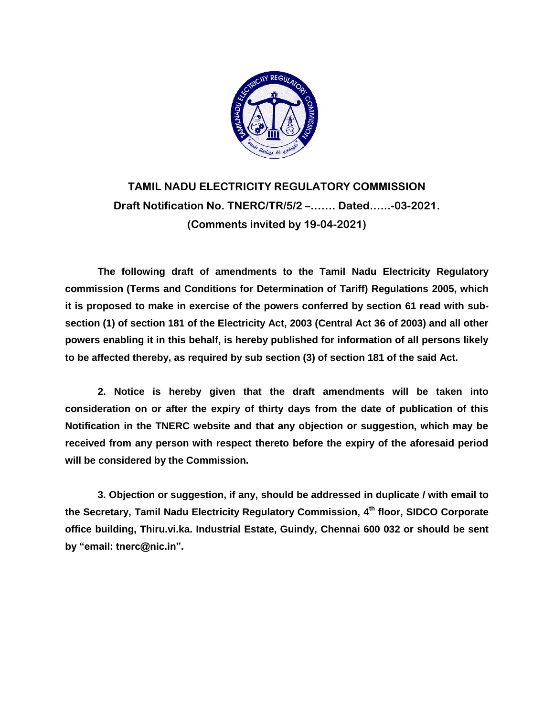

# **TAMIL NADU ELECTRICITY REGULATORY COMMISSION Draft Notification No. TNERC/TR/5/2 –……. Dated.…..-03-2021. (Comments invited by 19-04-2021)**

**The following draft of amendments to the Tamil Nadu Electricity Regulatory commission (Terms and Conditions for Determination of Tariff) Regulations 2005, which it is proposed to make in exercise of the powers conferred by section 61 read with subsection (1) of section 181 of the Electricity Act, 2003 (Central Act 36 of 2003) and all other powers enabling it in this behalf, is hereby published for information of all persons likely to be affected thereby, as required by sub section (3) of section 181 of the said Act.**

**2. Notice is hereby given that the draft amendments will be taken into consideration on or after the expiry of thirty days from the date of publication of this Notification in the TNERC website and that any objection or suggestion, which may be received from any person with respect thereto before the expiry of the aforesaid period will be considered by the Commission.**

**3. Objection or suggestion, if any, should be addressed in duplicate / with email to the Secretary, Tamil Nadu Electricity Regulatory Commission, 4 th floor, SIDCO Corporate office building, Thiru.vi.ka. Industrial Estate, Guindy, Chennai 600 032 or should be sent by "email: tnerc@nic.in".**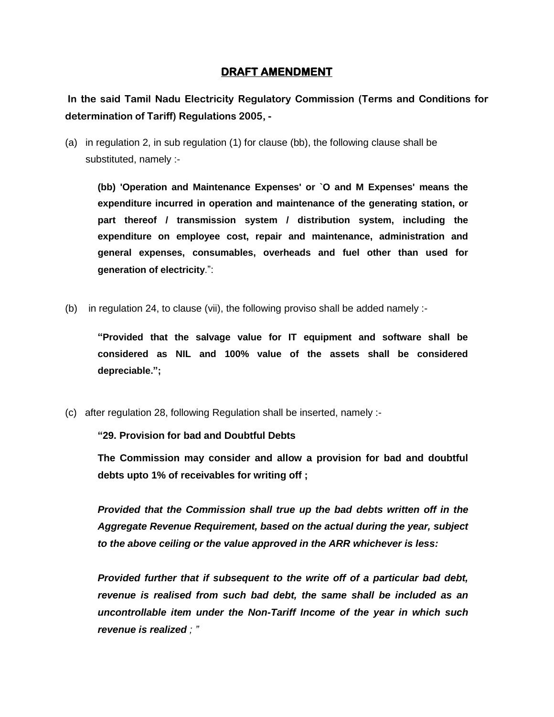### **DRAFT AMENDMENT**

**In the said Tamil Nadu Electricity Regulatory Commission (Terms and Conditions for determination of Tariff) Regulations 2005, -**

(a) in regulation 2, in sub regulation (1) for clause (bb), the following clause shall be substituted, namely :-

**(bb) 'Operation and Maintenance Expenses' or `O and M Expenses' means the expenditure incurred in operation and maintenance of the generating station, or part thereof / transmission system / distribution system, including the expenditure on employee cost, repair and maintenance, administration and general expenses, consumables, overheads and fuel other than used for generation of electricity**.":

(b) in regulation 24, to clause (vii), the following proviso shall be added namely :-

**"Provided that the salvage value for IT equipment and software shall be considered as NIL and 100% value of the assets shall be considered depreciable.";**

(c) after regulation 28, following Regulation shall be inserted, namely :-

**"29. Provision for bad and Doubtful Debts**

**The Commission may consider and allow a provision for bad and doubtful debts upto 1% of receivables for writing off ;**

*Provided that the Commission shall true up the bad debts written off in the Aggregate Revenue Requirement, based on the actual during the year, subject to the above ceiling or the value approved in the ARR whichever is less:*

*Provided further that if subsequent to the write off of a particular bad debt, revenue is realised from such bad debt, the same shall be included as an uncontrollable item under the Non-Tariff Income of the year in which such revenue is realized ; "*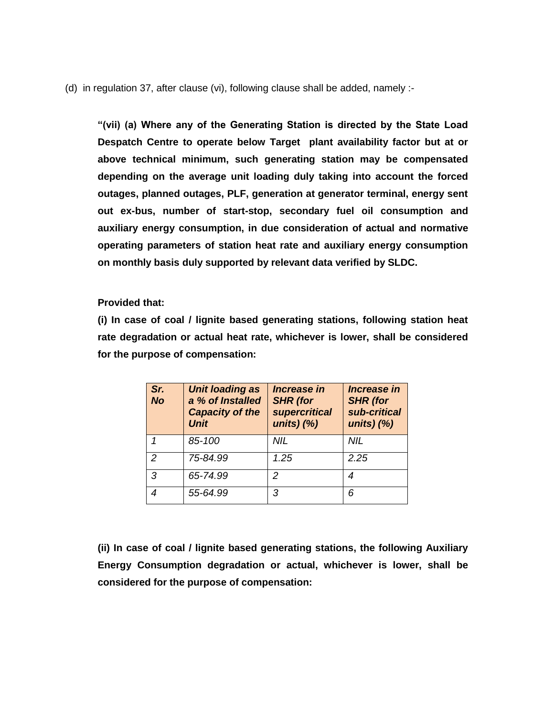(d) in regulation 37, after clause (vi), following clause shall be added, namely :-

**"(vii) (a) Where any of the Generating Station is directed by the State Load Despatch Centre to operate below Target plant availability factor but at or above technical minimum, such generating station may be compensated depending on the average unit loading duly taking into account the forced outages, planned outages, PLF, generation at generator terminal, energy sent out ex-bus, number of start-stop, secondary fuel oil consumption and auxiliary energy consumption, in due consideration of actual and normative operating parameters of station heat rate and auxiliary energy consumption on monthly basis duly supported by relevant data verified by SLDC.**

#### **Provided that:**

**(i) In case of coal / lignite based generating stations, following station heat rate degradation or actual heat rate, whichever is lower, shall be considered for the purpose of compensation:**

| Sr.<br><b>No</b> | <b>Unit loading as</b><br>a % of Installed<br><b>Capacity of the</b><br><b>Unit</b> | <i><b>Increase in</b></i><br><b>SHR</b> (for<br><b>supercritical</b><br>units) $(%)$ | <i><b>Increase in</b></i><br><b>SHR</b> (for<br>sub-critical<br>units) $(%)$ |
|------------------|-------------------------------------------------------------------------------------|--------------------------------------------------------------------------------------|------------------------------------------------------------------------------|
|                  | 85-100                                                                              | NIL                                                                                  | NIL                                                                          |
| 2                | 75-84.99                                                                            | 1.25                                                                                 | 2.25                                                                         |
| 3                | 65-74.99                                                                            | 2                                                                                    | 4                                                                            |
|                  | 55-64.99                                                                            | 3                                                                                    | 6                                                                            |

**(ii) In case of coal / lignite based generating stations, the following Auxiliary Energy Consumption degradation or actual, whichever is lower, shall be considered for the purpose of compensation:**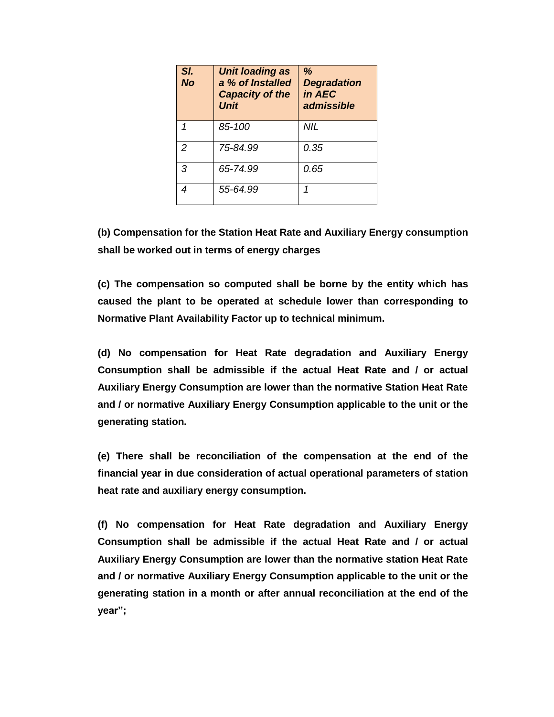| SI.<br><b>No</b> | <b>Unit loading as</b><br>a % of Installed<br><b>Capacity of the</b><br><b>Unit</b> | %<br><b>Degradation</b><br>in AEC<br>admissible |
|------------------|-------------------------------------------------------------------------------------|-------------------------------------------------|
|                  | 85-100                                                                              | NIL                                             |
| $\mathcal{P}$    | 75-84.99                                                                            | 0.35                                            |
| 3                | 65-74.99                                                                            | 0.65                                            |
|                  | 55-64.99                                                                            | 1                                               |

**(b) Compensation for the Station Heat Rate and Auxiliary Energy consumption shall be worked out in terms of energy charges**

**(c) The compensation so computed shall be borne by the entity which has caused the plant to be operated at schedule lower than corresponding to Normative Plant Availability Factor up to technical minimum.**

**(d) No compensation for Heat Rate degradation and Auxiliary Energy Consumption shall be admissible if the actual Heat Rate and / or actual Auxiliary Energy Consumption are lower than the normative Station Heat Rate and / or normative Auxiliary Energy Consumption applicable to the unit or the generating station.**

**(e) There shall be reconciliation of the compensation at the end of the financial year in due consideration of actual operational parameters of station heat rate and auxiliary energy consumption.**

**(f) No compensation for Heat Rate degradation and Auxiliary Energy Consumption shall be admissible if the actual Heat Rate and / or actual Auxiliary Energy Consumption are lower than the normative station Heat Rate and / or normative Auxiliary Energy Consumption applicable to the unit or the generating station in a month or after annual reconciliation at the end of the year";**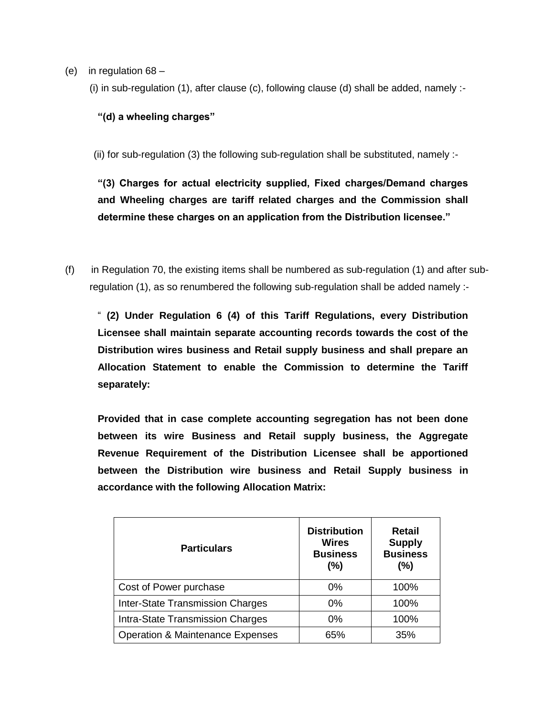- (e) in regulation 68
	- (i) in sub-regulation (1), after clause (c), following clause (d) shall be added, namely :-

#### **"(d) a wheeling charges"**

(ii) for sub-regulation (3) the following sub-regulation shall be substituted, namely :-

**"(3) Charges for actual electricity supplied, Fixed charges/Demand charges and Wheeling charges are tariff related charges and the Commission shall determine these charges on an application from the Distribution licensee."**

(f) in Regulation 70, the existing items shall be numbered as sub-regulation (1) and after subregulation (1), as so renumbered the following sub-regulation shall be added namely :-

" **(2) Under Regulation 6 (4) of this Tariff Regulations, every Distribution Licensee shall maintain separate accounting records towards the cost of the Distribution wires business and Retail supply business and shall prepare an Allocation Statement to enable the Commission to determine the Tariff separately:**

**Provided that in case complete accounting segregation has not been done between its wire Business and Retail supply business, the Aggregate Revenue Requirement of the Distribution Licensee shall be apportioned between the Distribution wire business and Retail Supply business in accordance with the following Allocation Matrix:**

| <b>Particulars</b>                          | <b>Distribution</b><br><b>Wires</b><br><b>Business</b><br>(%) | <b>Retail</b><br><b>Supply</b><br><b>Business</b><br>(%) |
|---------------------------------------------|---------------------------------------------------------------|----------------------------------------------------------|
| Cost of Power purchase                      | $0\%$                                                         | 100%                                                     |
| <b>Inter-State Transmission Charges</b>     | 0%                                                            | 100%                                                     |
| Intra-State Transmission Charges            | $0\%$                                                         | 100%                                                     |
| <b>Operation &amp; Maintenance Expenses</b> | 65%                                                           | 35%                                                      |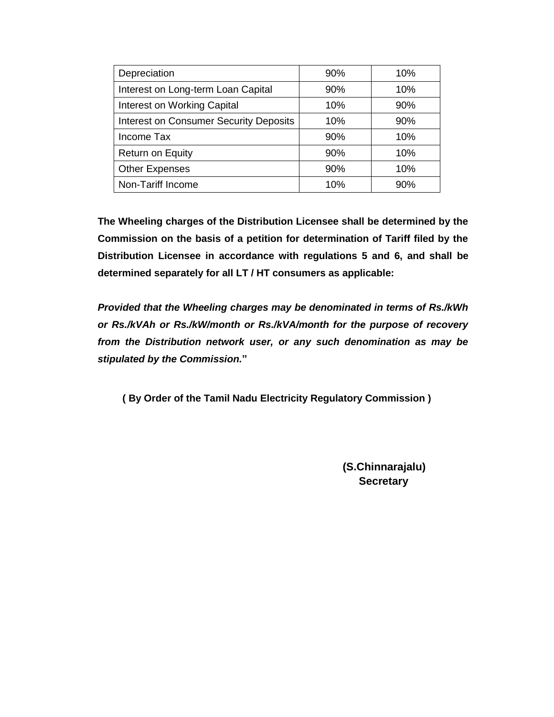| Depreciation                                  | 90% | 10% |
|-----------------------------------------------|-----|-----|
| Interest on Long-term Loan Capital            | 90% | 10% |
| Interest on Working Capital                   | 10% | 90% |
| <b>Interest on Consumer Security Deposits</b> | 10% | 90% |
| Income Tax                                    | 90% | 10% |
| <b>Return on Equity</b>                       | 90% | 10% |
| <b>Other Expenses</b>                         | 90% | 10% |
| Non-Tariff Income                             | 10% | 90% |

**The Wheeling charges of the Distribution Licensee shall be determined by the Commission on the basis of a petition for determination of Tariff filed by the Distribution Licensee in accordance with regulations 5 and 6, and shall be determined separately for all LT / HT consumers as applicable:**

*Provided that the Wheeling charges may be denominated in terms of Rs./kWh or Rs./kVAh or Rs./kW/month or Rs./kVA/month for the purpose of recovery from the Distribution network user, or any such denomination as may be stipulated by the Commission.***"**

**( By Order of the Tamil Nadu Electricity Regulatory Commission )**

 **(S.Chinnarajalu) Secretary**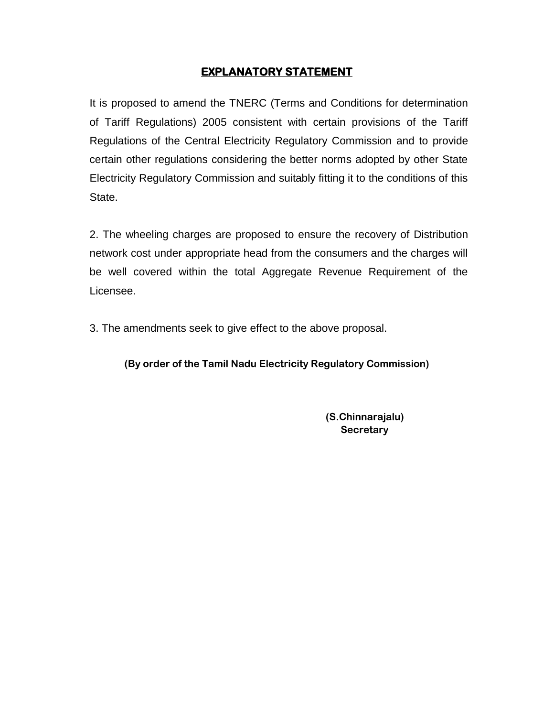## **EXPLANATORY STATEMENT**

It is proposed to amend the TNERC (Terms and Conditions for determination of Tariff Regulations) 2005 consistent with certain provisions of the Tariff Regulations of the Central Electricity Regulatory Commission and to provide certain other regulations considering the better norms adopted by other State Electricity Regulatory Commission and suitably fitting it to the conditions of this State.

2. The wheeling charges are proposed to ensure the recovery of Distribution network cost under appropriate head from the consumers and the charges will be well covered within the total Aggregate Revenue Requirement of the Licensee.

3. The amendments seek to give effect to the above proposal.

**(By order of the Tamil Nadu Electricity Regulatory Commission)**

**(S.Chinnarajalu) Secretary**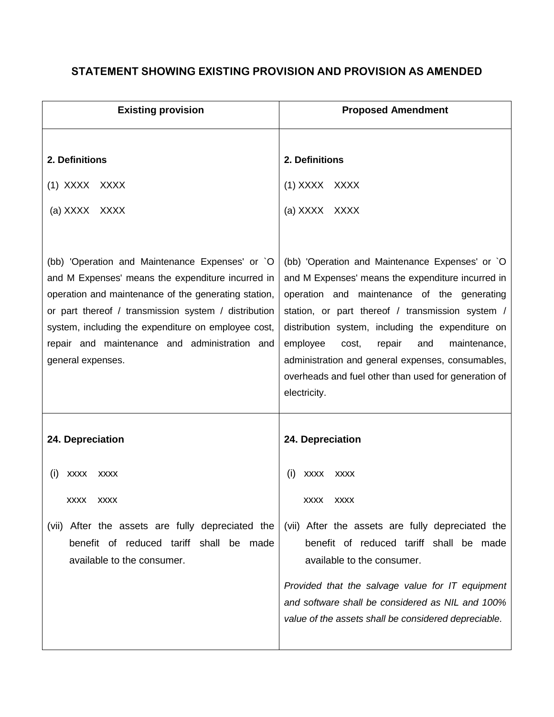## **STATEMENT SHOWING EXISTING PROVISION AND PROVISION AS AMENDED**

| <b>Existing provision</b>                                                                                                                                                                                                                                                                                                                         | <b>Proposed Amendment</b>                                                                                                                                                                                                                                                                                                                                                                                                                       |  |
|---------------------------------------------------------------------------------------------------------------------------------------------------------------------------------------------------------------------------------------------------------------------------------------------------------------------------------------------------|-------------------------------------------------------------------------------------------------------------------------------------------------------------------------------------------------------------------------------------------------------------------------------------------------------------------------------------------------------------------------------------------------------------------------------------------------|--|
| 2. Definitions<br>(1) XXXX XXXX<br>(a) XXXX XXXX                                                                                                                                                                                                                                                                                                  | 2. Definitions<br>(1) XXXX XXXX<br>(a) XXXX XXXX                                                                                                                                                                                                                                                                                                                                                                                                |  |
| (bb) 'Operation and Maintenance Expenses' or `O<br>and M Expenses' means the expenditure incurred in<br>operation and maintenance of the generating station,<br>or part thereof / transmission system / distribution<br>system, including the expenditure on employee cost,<br>repair and maintenance and administration and<br>general expenses. | (bb) 'Operation and Maintenance Expenses' or `O<br>and M Expenses' means the expenditure incurred in<br>operation and maintenance of the generating<br>station, or part thereof / transmission system /<br>distribution system, including the expenditure on<br>employee<br>repair<br>cost,<br>and<br>maintenance,<br>administration and general expenses, consumables,<br>overheads and fuel other than used for generation of<br>electricity. |  |
| 24. Depreciation                                                                                                                                                                                                                                                                                                                                  | 24. Depreciation                                                                                                                                                                                                                                                                                                                                                                                                                                |  |
| (i)<br><b>XXXX</b><br><b>XXXX</b><br>XXXX<br><b>XXXX</b><br>(vii) After the assets are fully depreciated the<br>benefit of reduced tariff shall be made<br>available to the consumer.                                                                                                                                                             | (i)<br><b>XXXX</b><br><b>XXXX</b><br><b>XXXX</b><br><b>XXXX</b><br>(vii) After the assets are fully depreciated the<br>benefit of reduced tariff shall be made<br>available to the consumer.<br>Provided that the salvage value for IT equipment<br>and software shall be considered as NIL and 100%<br>value of the assets shall be considered depreciable.                                                                                    |  |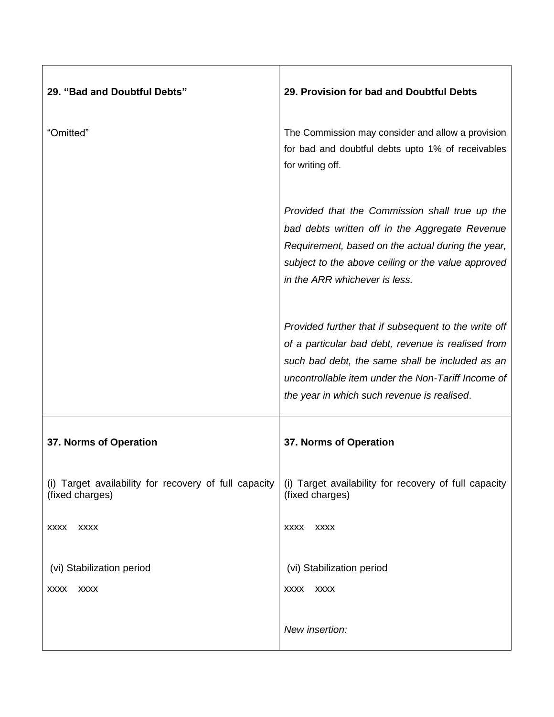| 29. "Bad and Doubtful Debts"                                             | 29. Provision for bad and Doubtful Debts                                                                                                                                                                                                                           |
|--------------------------------------------------------------------------|--------------------------------------------------------------------------------------------------------------------------------------------------------------------------------------------------------------------------------------------------------------------|
|                                                                          |                                                                                                                                                                                                                                                                    |
| "Omitted"                                                                | The Commission may consider and allow a provision<br>for bad and doubtful debts upto 1% of receivables<br>for writing off.                                                                                                                                         |
|                                                                          | Provided that the Commission shall true up the<br>bad debts written off in the Aggregate Revenue<br>Requirement, based on the actual during the year,<br>subject to the above ceiling or the value approved<br>in the ARR whichever is less.                       |
|                                                                          | Provided further that if subsequent to the write off<br>of a particular bad debt, revenue is realised from<br>such bad debt, the same shall be included as an<br>uncontrollable item under the Non-Tariff Income of<br>the year in which such revenue is realised. |
| 37. Norms of Operation                                                   | 37. Norms of Operation                                                                                                                                                                                                                                             |
| (i) Target availability for recovery of full capacity<br>(fixed charges) | (i) Target availability for recovery of full capacity<br>(fixed charges)                                                                                                                                                                                           |
| <b>XXXX</b><br><b>XXXX</b>                                               | <b>XXXX</b><br><b>XXXX</b>                                                                                                                                                                                                                                         |
| (vi) Stabilization period                                                | (vi) Stabilization period                                                                                                                                                                                                                                          |
| <b>XXXX</b><br><b>XXXX</b>                                               | <b>XXXX</b><br>XXXX                                                                                                                                                                                                                                                |
|                                                                          | New insertion:                                                                                                                                                                                                                                                     |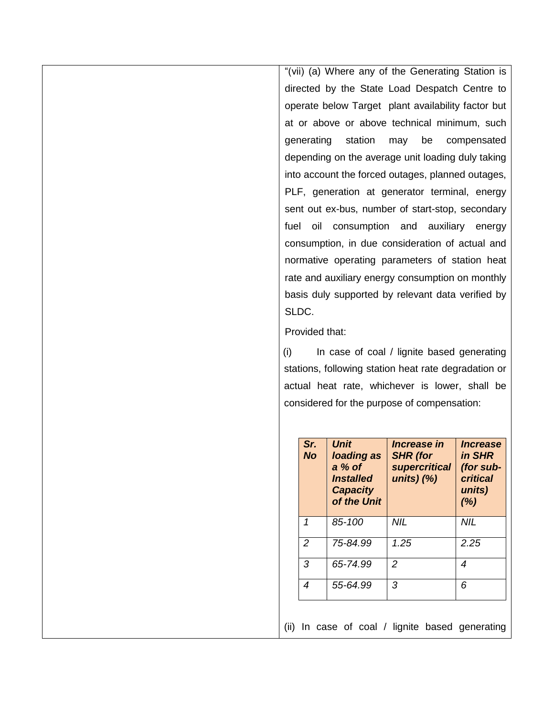"(vii) (a) Where any of the Generating Station is directed by the State Load Despatch Centre to operate below Target plant availability factor but at or above or above technical minimum, such generating station may be compensated depending on the average unit loading duly taking into account the forced outages, planned outages, PLF, generation at generator terminal, energy sent out ex-bus, number of start-stop, secondary fuel oil consumption and auxiliary energy consumption, in due consideration of actual and normative operating parameters of station heat rate and auxiliary energy consumption on monthly basis duly supported by relevant data verified by SLDC.

#### Provided that:

(i) In case of coal / lignite based generating stations, following station heat rate degradation or actual heat rate, whichever is lower, shall be considered for the purpose of compensation:

| Sr.<br><b>No</b> | <b>Unit</b><br>loading as<br>$a\%$ of<br><i><b>Installed</b></i><br><b>Capacity</b><br>of the Unit | <i><b>Increase in</b></i><br><b>SHR</b> (for<br><b>supercritical</b><br>units) $(%)$ | <i><b>Increase</b></i><br>in SHR<br>(for sub-<br>critical<br>units)<br>(%) |
|------------------|----------------------------------------------------------------------------------------------------|--------------------------------------------------------------------------------------|----------------------------------------------------------------------------|
| 1                | $85 - 100$                                                                                         | NIL                                                                                  | NIL                                                                        |
| $\mathcal{P}$    | 75-84.99                                                                                           | 1.25                                                                                 | 2.25                                                                       |
| 3                | 65-74.99                                                                                           | $\mathcal{P}$                                                                        | 4                                                                          |
| 4                | 55-64.99                                                                                           | 3                                                                                    | 6                                                                          |

(ii) In case of coal / lignite based generating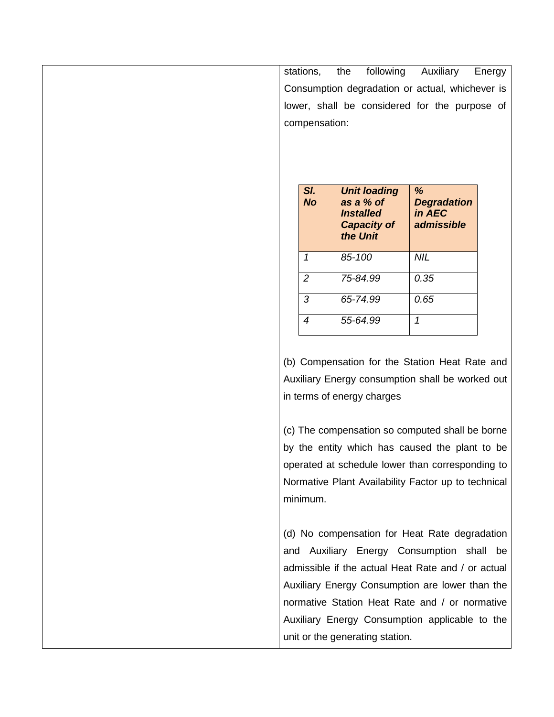|     | stations,      | following<br>the                                    | Auxiliary            | Energy |
|-----|----------------|-----------------------------------------------------|----------------------|--------|
|     |                | Consumption degradation or actual, whichever is     |                      |        |
|     |                | lower, shall be considered for the purpose of       |                      |        |
|     | compensation:  |                                                     |                      |        |
|     |                |                                                     |                      |        |
|     |                |                                                     |                      |        |
|     |                |                                                     |                      |        |
|     | SI.            | <b>Unit loading</b>                                 | %                    |        |
|     | <b>No</b>      | as a % of                                           | <b>Degradation</b>   |        |
|     |                | <b>Installed</b><br><b>Capacity of</b>              | in AEC<br>admissible |        |
|     |                | the Unit                                            |                      |        |
|     | 1              | 85-100                                              | <b>NIL</b>           |        |
|     | $\overline{c}$ | 75-84.99                                            | 0.35                 |        |
|     | 3              | 65-74.99                                            | 0.65                 |        |
|     | $\overline{4}$ | 55-64.99                                            | $\mathcal I$         |        |
|     |                |                                                     |                      |        |
|     |                | (b) Compensation for the Station Heat Rate and      |                      |        |
|     |                | Auxiliary Energy consumption shall be worked out    |                      |        |
|     |                | in terms of energy charges                          |                      |        |
|     |                |                                                     |                      |        |
|     |                | (c) The compensation so computed shall be borne     |                      |        |
|     |                | by the entity which has caused the plant to be      |                      |        |
|     |                | operated at schedule lower than corresponding to    |                      |        |
|     |                | Normative Plant Availability Factor up to technical |                      |        |
|     | minimum.       |                                                     |                      |        |
|     |                |                                                     |                      |        |
|     |                | (d) No compensation for Heat Rate degradation       |                      |        |
| and |                | Auxiliary Energy Consumption shall be               |                      |        |
|     |                | admissible if the actual Heat Rate and / or actual  |                      |        |
|     |                | Auxiliary Energy Consumption are lower than the     |                      |        |
|     |                | normative Station Heat Rate and / or normative      |                      |        |
|     |                | Auxiliary Energy Consumption applicable to the      |                      |        |
|     |                | unit or the generating station.                     |                      |        |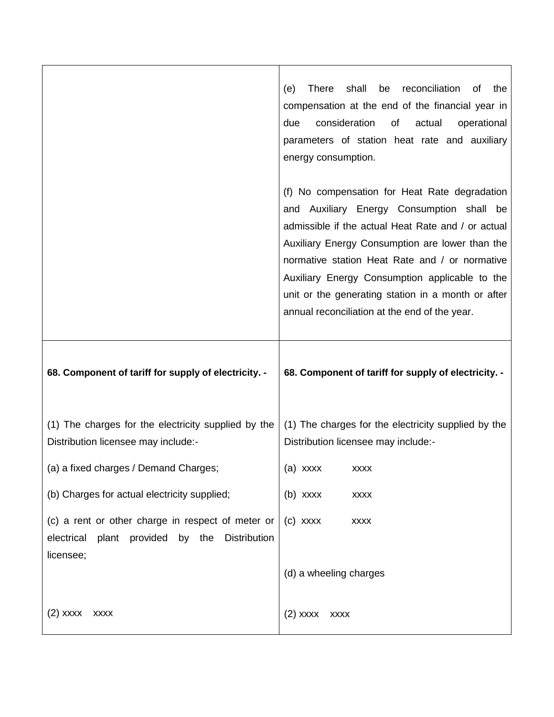|                                                                                                                                    | reconciliation<br>shall<br><b>There</b><br>be<br>οf<br>the<br>(e)<br>compensation at the end of the financial year in<br>consideration<br>due<br>οf<br>actual<br>operational<br>parameters of station heat rate and auxiliary<br>energy consumption.                                                                                                                                                           |
|------------------------------------------------------------------------------------------------------------------------------------|----------------------------------------------------------------------------------------------------------------------------------------------------------------------------------------------------------------------------------------------------------------------------------------------------------------------------------------------------------------------------------------------------------------|
|                                                                                                                                    | (f) No compensation for Heat Rate degradation<br>and Auxiliary Energy Consumption shall be<br>admissible if the actual Heat Rate and / or actual<br>Auxiliary Energy Consumption are lower than the<br>normative station Heat Rate and / or normative<br>Auxiliary Energy Consumption applicable to the<br>unit or the generating station in a month or after<br>annual reconciliation at the end of the year. |
| 68. Component of tariff for supply of electricity. -                                                                               | 68. Component of tariff for supply of electricity. -                                                                                                                                                                                                                                                                                                                                                           |
| (1) The charges for the electricity supplied by the<br>Distribution licensee may include:-                                         | (1) The charges for the electricity supplied by the<br>Distribution licensee may include:-                                                                                                                                                                                                                                                                                                                     |
| (a) a fixed charges / Demand Charges;                                                                                              | (a) xxxx<br><b>XXXX</b>                                                                                                                                                                                                                                                                                                                                                                                        |
| (b) Charges for actual electricity supplied;                                                                                       | $(b)$ xxxx<br><b>XXXX</b>                                                                                                                                                                                                                                                                                                                                                                                      |
| (c) a rent or other charge in respect of meter or<br>electrical<br>plant<br>provided<br>by the<br><b>Distribution</b><br>licensee; | $(c)$ xxxx<br><b>XXXX</b>                                                                                                                                                                                                                                                                                                                                                                                      |
|                                                                                                                                    | (d) a wheeling charges                                                                                                                                                                                                                                                                                                                                                                                         |
| (2) xxxx<br><b>XXXX</b>                                                                                                            | $(2)$ xxxx<br><b>XXXX</b>                                                                                                                                                                                                                                                                                                                                                                                      |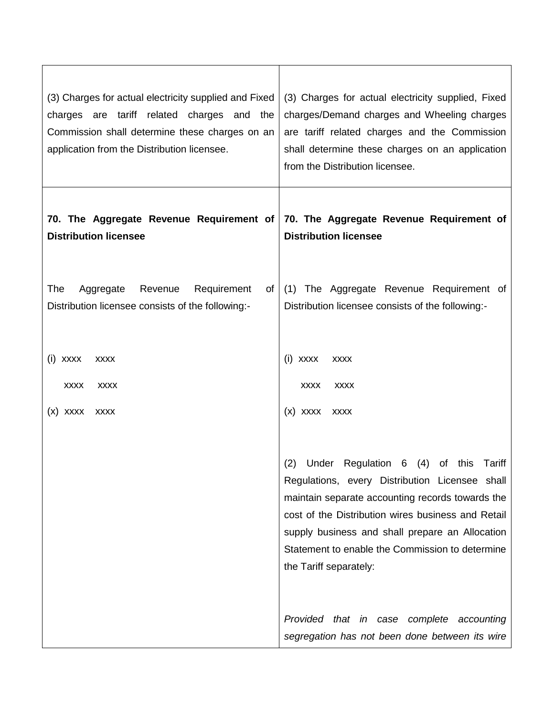| (3) Charges for actual electricity supplied and Fixed<br>charges are tariff related charges and the<br>Commission shall determine these charges on an<br>application from the Distribution licensee. | (3) Charges for actual electricity supplied, Fixed<br>charges/Demand charges and Wheeling charges<br>are tariff related charges and the Commission<br>shall determine these charges on an application<br>from the Distribution licensee.                                                                                                                                                       |  |
|------------------------------------------------------------------------------------------------------------------------------------------------------------------------------------------------------|------------------------------------------------------------------------------------------------------------------------------------------------------------------------------------------------------------------------------------------------------------------------------------------------------------------------------------------------------------------------------------------------|--|
| 70. The Aggregate Revenue Requirement of<br><b>Distribution licensee</b>                                                                                                                             | 70. The Aggregate Revenue Requirement of<br><b>Distribution licensee</b>                                                                                                                                                                                                                                                                                                                       |  |
| The<br>Requirement<br>Aggregate<br>Revenue<br>ot<br>Distribution licensee consists of the following:-                                                                                                | (1) The Aggregate Revenue Requirement of<br>Distribution licensee consists of the following:-                                                                                                                                                                                                                                                                                                  |  |
| (i) XXXX<br><b>XXXX</b><br><b>XXXX</b><br><b>XXXX</b><br>$(x)$ xxxx<br><b>XXXX</b>                                                                                                                   | (i) XXXX<br><b>XXXX</b><br><b>XXXX</b><br><b>XXXX</b><br>$(x)$ xxxx<br><b>XXXX</b>                                                                                                                                                                                                                                                                                                             |  |
|                                                                                                                                                                                                      | Under Regulation 6<br>(2)<br>(4)<br>of this<br>Tariff<br>Regulations, every Distribution Licensee shall<br>maintain separate accounting records towards the<br>cost of the Distribution wires business and Retail<br>supply business and shall prepare an Allocation<br>Statement to enable the Commission to determine<br>the Tariff separately:<br>Provided that in case complete accounting |  |
|                                                                                                                                                                                                      | segregation has not been done between its wire                                                                                                                                                                                                                                                                                                                                                 |  |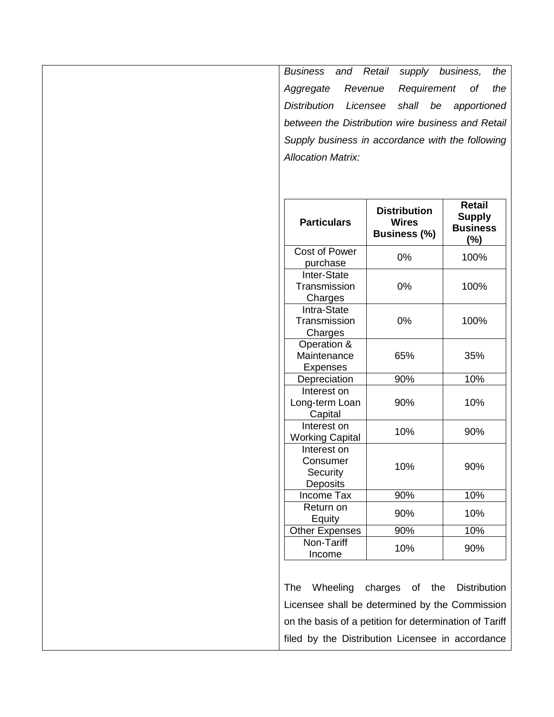*Business and Retail supply business, the Aggregate Revenue Requirement of the Distribution Licensee shall be apportioned between the Distribution wire business and Retail Supply business in accordance with the following Allocation Matrix:*

| <b>Particulars</b>        | <b>Distribution</b><br><b>Wires</b><br><b>Business (%)</b> | <b>Retail</b><br><b>Supply</b><br><b>Business</b><br>$(\% )$ |
|---------------------------|------------------------------------------------------------|--------------------------------------------------------------|
| Cost of Power<br>purchase | 0%                                                         | 100%                                                         |
| Inter-State               |                                                            |                                                              |
| Transmission              | 0%                                                         | 100%                                                         |
| Charges                   |                                                            |                                                              |
| Intra-State               |                                                            |                                                              |
| Transmission              | 0%                                                         | 100%                                                         |
| Charges                   |                                                            |                                                              |
| Operation &               |                                                            |                                                              |
| Maintenance               | 65%                                                        | 35%                                                          |
| <b>Expenses</b>           |                                                            |                                                              |
| Depreciation              | 90%                                                        | 10%                                                          |
| Interest on               |                                                            |                                                              |
| Long-term Loan            | 90%                                                        | 10%                                                          |
| Capital                   |                                                            |                                                              |
| Interest on               | 10%                                                        | 90%                                                          |
| <b>Working Capital</b>    |                                                            |                                                              |
| Interest on               |                                                            |                                                              |
| Consumer                  | 10%                                                        | 90%                                                          |
| Security                  |                                                            |                                                              |
| Deposits                  |                                                            |                                                              |
| <b>Income Tax</b>         | 90%                                                        | 10%                                                          |
| Return on                 | 90%                                                        | 10%                                                          |
| Equity                    |                                                            |                                                              |
| <b>Other Expenses</b>     | 90%                                                        | 10%                                                          |
| Non-Tariff                | 10%                                                        | 90%                                                          |
| Income                    |                                                            |                                                              |

The Wheeling charges of the Distribution Licensee shall be determined by the Commission on the basis of a petition for determination of Tariff filed by the Distribution Licensee in accordance